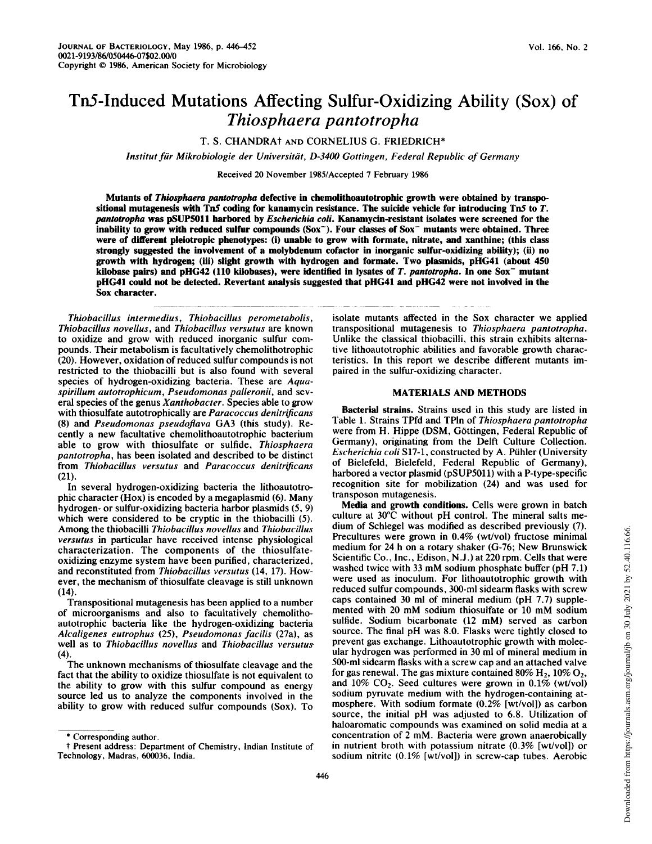# TnS-Induced Mutations Affecting Sulfur-Oxidizing Ability (Sox) of Thiosphaera pantotropha

# T. S. CHANDRAt AND CORNELIUS G. FRIEDRICH\*

Institut für Mikrobiologie der Universität, D-3400 Gottingen, Federal Republic of Germany

Received 20 November 1985/Accepted 7 February 1986

Mutants of Thiosphaera pantotropha defective in chemolithoautotrophic growth were obtained by transpositional mutagenesis with Tn5 coding for kanamycin resistance. The suicide vehicle for introducing Tn5 to  $T$ . pantotropha was pSUP5011 harbored by Escherichia coli. Kanamycin-resistant isolates were screened for the inability to grow with reduced sulfur compounds (Sox<sup>-</sup>). Four classes of Sox<sup>-</sup> mutants were obtained. Three were of different pleiotropic phenotypes: (i) unable to grow with formate, nitrate, and xanthine; (this class strongly suggested the involvement of a molybdenum cofactor in inorganic sulfur-oxidizing ability); (ii) no growth with hydrogen; (iii) slight growth with hydrogen and formate. Two plasmids, pHG41 (about 450 kilobase pairs) and pHG42 (110 kilobases), were identified in lysates of T. pantotropha. In one Sox<sup>-</sup> mutant pHG41 could not be detected. Revertant analysis suggested that pHG41 and pHG42 were not involved in the Sox character.

Thiobacillus intermedius, Thiobacillus perometabolis, Thiobacillus novellus, and Thiobacillus versutus are known to oxidize and grow with reduced inorganic sulfur compounds. Their metabolism is facultatively chemolithotrophic (20). However, oxidation of reduced sulfur compounds is not restricted to the thiobacilli but is also found with several species of hydrogen-oxidizing bacteria. These are Aquaspirillum autotrophicum, Pseudomonas palleronii, and several species of the genus Xanthobacter. Species able to grow with thiosulfate autotrophically are *Paracoccus denitrificans* (8) and Pseudomonas pseudoflava GA3 (this study). Recently a new facultative chemolithoautotrophic bacterium able to grow with thiosulfate or sulfide, Thiosphaera pantotropha, has been isolated and described to be distinct from Thiobacillus versutus and Paracoccus denitrificans (21).

In several hydrogen-oxidizing bacteria the lithoautotrophic character (Hox) is encoded by a megaplasmid (6). Many hydrogen- or sulfur-oxidizing bacteria harbor plasmids (5, 9) which were considered to be cryptic in the thiobacilli (5). Among the thiobacilli Thiobacillus novellus and Thiobacillus versutus in particular have received intense physiological characterization. The components of the thiosulfateoxidizing enzyme system have been purified, characterized, and reconstituted from Thiobacillus versutus (14, 17). However, the mechanism of thiosulfate cleavage is still unknown (14).

Transpositional mutagenesis has been applied to a number of microorganisms and also to facultatively chemolithoautotrophic bacteria like the hydrogen-oxidizing bacteria Alcaligenes eutrophus (25), Pseudomonas facilis (27a), as well as to Thiobacillus novellus and Thiobacillus versutus (4).

The unknown mechanisms of thiosulfate cleavage and the fact that the ability to oxidize thiosulfate is not equivalent to the ability to grow with this sulfur compound as energy source led us to analyze the components involved in the ability to grow with reduced sulfur compounds (Sox). To

transpositional mutagenesis to Thiosphaera pantotropha. Unlike the classical thiobacilli, this strain exhibits alternative lithoautotrophic abilities and favorable growth characteristics. In this report we describe different mutants impaired in the sulfur-oxidizing character.

isolate mutants affected in the Sox character we applied

## MATERIALS AND METHODS

Bacterial strains. Strains used in this study are listed in Table 1. Strains TPfd and TPln of Thiosphaera pantotropha were from H. Hippe (DSM, Göttingen, Federal Republic of Germany), originating from the Delft Culture Collection. Escherichia coli S17-1, constructed by A. Puhler (University of Bielefeld, Bielefeld, Federal Republic of Germany), harbored a vector plasmid (pSUP5011) with a P-type-specific recognition site for mobilization (24) and was used for transposon mutagenesis.

Media and growth conditions. Cells were grown in batch culture at 30°C without pH control. The mineral salts medium of Schlegel was modified as described previously (7). Precultures were grown in 0.4% (wt/vol) fructose minimal medium for 24 h on <sup>a</sup> rotary shaker (G-76; New Brunswick Scientific Co., Inc., Edison, N.J.) at 220 rpm. Cells that were washed twice with <sup>33</sup> mM sodium phosphate buffer (pH 7.1) were used as inoculum. For lithoautotrophic growth with reduced sulfur compounds, 300-ml sidearm flasks with screw caps contained 30 ml of mineral medium (pH 7.7) supplemented with <sup>20</sup> mM sodium thiosulfate or <sup>10</sup> mM sodium sulfide. Sodium bicarbonate (12 mM) served as carbon source. The final pH was 8.0. Flasks were tightly closed to prevent gas exchange. Lithoautotrophic growth with molecular hydrogen was performed in 30 ml of mineral medium in 500-ml sidearm flasks with a screw cap and an attached valve for gas renewal. The gas mixture contained  $80\%$  H<sub>2</sub>,  $10\%$  O<sub>2</sub>, and  $10\%$  CO<sub>2</sub>. Seed cultures were grown in 0.1% (wt/vol) sodium pyruvate medium with the hydrogen-containing atmosphere. With sodium formate (0.2% [wt/vol]) as carbon source, the initial pH was adjusted to 6.8. Utilization of haloaromatic compounds was examined on solid media at a concentration of <sup>2</sup> mM. Bacteria were grown anaerobically in nutrient broth with potassium nitrate (0.3% [wt/vol]) or sodium nitrite (0.1% [wt/vol]) in screw-cap tubes. Aerobic

<sup>\*</sup> Corresponding author.

t Present address: Department of Chemistry, Indian Institute of Technology, Madras, 600036, India.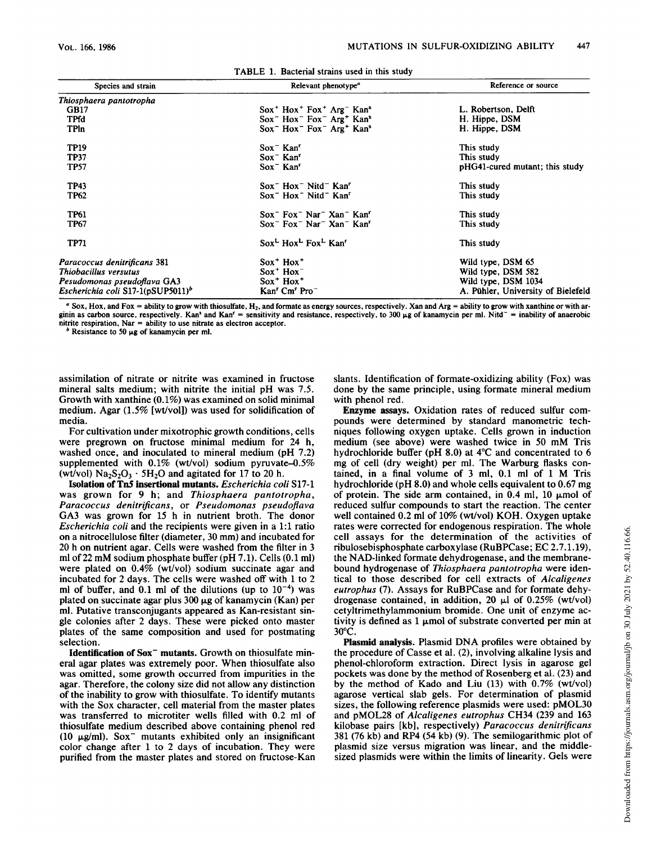| Species and strain                            | Relevant phenotype <sup><i>e</i></sup><br>Reference or source                        |                                    |
|-----------------------------------------------|--------------------------------------------------------------------------------------|------------------------------------|
| Thiosphaera pantotropha                       |                                                                                      |                                    |
| GB17                                          | $Sox^+$ Hox <sup>+</sup> Fox <sup>+</sup> Arg <sup>-</sup> Kan <sup>s</sup>          | L. Robertson, Delft                |
| <b>TPfd</b>                                   | $Sox$ Hox $Fox$ Arg <sup>+</sup> Kan <sup>s</sup>                                    | H. Hippe, DSM                      |
| <b>TPIn</b>                                   | Sox <sup>-</sup> Hox <sup>-</sup> Fox <sup>-</sup> Arg <sup>+</sup> Kan <sup>s</sup> | H. Hippe, DSM                      |
| <b>TP19</b>                                   | $Sox - Kan$                                                                          | This study                         |
| <b>TP37</b>                                   | $Sox - Kanr$                                                                         | This study                         |
| <b>TP57</b>                                   | $Sox$ <sup>-</sup> Kan <sup>r</sup>                                                  | pHG41-cured mutant; this study     |
| TP43                                          | $Sox^-$ Hox <sup>-</sup> Nitd <sup>-</sup> Kan <sup>r</sup>                          | This study                         |
| TP62                                          | $Sox^-$ Hox <sup>-</sup> Nitd <sup>-</sup> Kan <sup>r</sup>                          | This study                         |
| TP61                                          | Sox <sup>-</sup> Fox <sup>-</sup> Nar <sup>-</sup> Xan <sup>-</sup> Kan <sup>r</sup> | This study                         |
| TP67                                          | $Sox$ Fox $Nar$ Xan Kan'                                                             | This study                         |
| TP71                                          | Sox <sup>L</sup> Hox <sup>L</sup> Fox <sup>L</sup> Kan <sup>r</sup>                  | This study                         |
| Paracoccus denitrificans 381                  | $Sox^+$ Hox <sup>+</sup>                                                             | Wild type, DSM 65                  |
| Thiobacillus versutus                         | $Sox^+$ Hox <sup>-</sup>                                                             | Wild type, DSM 582                 |
| Pesudomonas pseudoflava GA3                   | $Sox^+$ Hox <sup>+</sup>                                                             | Wild type, DSM 1034                |
| Escherichia coli S17-1(pSUP5011) <sup>b</sup> | Kan' Cm' Pro <sup>-</sup>                                                            | A. Pühler, University of Bielefeld |

|  |  |  |  | TABLE 1. Bacterial strains used in this study |
|--|--|--|--|-----------------------------------------------|
|--|--|--|--|-----------------------------------------------|

 $a$  Sox, Hox, and Fox = ability to grow with thiosulfate, H<sub>2</sub>, and formate as energy sources, respectively. Xan and Arg = ability to grow with xanthine or with arginin as carbon source, respectively. Kan' and Kan<sup>r</sup> = sensitivity and resistance, respectively, to 300  $\mu$ g of kanamycin per ml. Nitd<sup>-</sup> = inability of anaerobic nitrite respiration, Nar = ability to use nitrate as electron acceptor.

 $b$  Resistance to 50  $\mu$ g of kanamycin per ml.

assimilation of nitrate or nitrite was examined in fructose mineral salts medium; with nitrite the initial pH was 7.5. Growth with xanthine (0.1%) was examined on solid minimal medium. Agar (1.5% [wt/vol]) was used for solidification of media.

For cultivation under mixotrophic growth conditions, cells were pregrown on fructose minimal medium for 24 h, washed once, and inoculated to mineral medium (pH 7.2) supplemented with 0.1% (wt/vol) sodium pyruvate-0.5% (wt/vol)  $Na_2S_2O_3 \cdot 5H_2O$  and agitated for 17 to 20 h.

Isolation of Tn5 insertional mutants. Escherichia coli S17-1 was grown for 9 h; and Thiosphaera pantotropha, Paracoccus denitrificans, or Pseudomonas pseudoflava GA3 was grown for <sup>15</sup> h in nutrient broth. The donor Escherichia coli and the recipients were given in a 1:1 ratio on a nitrocellulose filter (diameter, 30 mm) and incubated for 20 h on nutrient agar. Cells were washed from the filter in 3 ml of <sup>22</sup> mM sodium phosphate buffer (pH 7.1). Cells (0.1 ml) were plated on 0.4% (wt/vol) sodium succinate agar and incubated for 2 days. The cells were washed off with <sup>1</sup> to 2 ml of buffer, and  $0.1$  ml of the dilutions (up to  $10^{-4}$ ) was plated on succinate agar plus  $300 \mu$ g of kanamycin (Kan) per ml. Putative transconjugants appeared as Kan-resistant single colonies after 2 days. These were picked onto master plates of the same composition and used for postmating selection.

Identification of Sox<sup>-</sup> mutants. Growth on thiosulfate mineral agar plates was extremely poor. When thiosulfate also was omitted, some growth occurred from impurities in the agar. Therefore, the colony size did not allow any distinction of the inability to grow with thiosulfate. To identify mutants with the Sox character, cell material from the master plates was transferred to microtiter wells filled with 0.2 ml of thiosulfate medium described above containing phenol red (10  $\mu$ g/ml). Sox<sup>-</sup> mutants exhibited only an insignificant color change after <sup>1</sup> to 2 days of incubation. They were purified from the master plates and stored on fructose-Kan

slants. Identification of formate-oxidizing ability (Fox) was done by the same principle, using formate mineral medium with phenol red.

Enzyme assays. Oxidation rates of reduced sulfur compounds were determined by standard manometric techniques following oxygen uptake. Cells grown in induction medium (see above) were washed twice in <sup>50</sup> mM Tris hydrochloride buffer (pH 8.0) at 4°C and concentrated to 6 mg of cell (dry weight) per ml. The Warburg flasks contained, in <sup>a</sup> final volume of <sup>3</sup> ml, 0.1 ml of <sup>1</sup> M Tris hydrochloride (pH 8.0) and whole cells equivalent to 0.67 mg of protein. The side arm contained, in  $0.4$  ml,  $10 \mu$  mol of reduced sulfur compounds to start the reaction. The center well contained 0.2 ml of 10% (wt/vol) KOH. Oxygen uptake rates were corrected for endogenous respiration. The whole cell assays for the determination of the activities of ribulosebisphosphate carboxylase (RuBPCase; EC 2.7.1.19), the NAD-linked formate dehydrogenase, and the membranebound hydrogenase of Thiosphaera pantotropha were identical to those described for cell extracts of Alcaligenes eutrophus (7). Assays for RuBPCase and for formate dehydrogenase contained, in addition, 20  $\mu$ l of 0.25% (wt/vol) cetyltrimethylammonium bromide. One unit of enzyme activity is defined as  $1 \mu$ mol of substrate converted per min at 30°C.

Plasmid analysis. Plasmid DNA profiles were obtained by the procedure of Casse et al. (2), involving alkaline lysis and phenol-chloroform extraction. Direct lysis in agarose gel pockets was done by the method of Rosenberg et al. (23) and by the method of Kado and Liu (13) with 0.7% (wt/vol) agarose vertical slab gels. For determination of plasmid sizes, the following reference plasmids were used: pMOL30 and pMOL28 of Alcaligenes eutrophus CH34 (239 and <sup>163</sup> kilobase pairs [kb], respectively) Paracoccus denitrificans 381 (76 kb) and RP4 (54 kb) (9). The semilogarithmic plot of plasmid size versus migration was linear, and the middlesized plasmids were within the limits of linearity. Gels were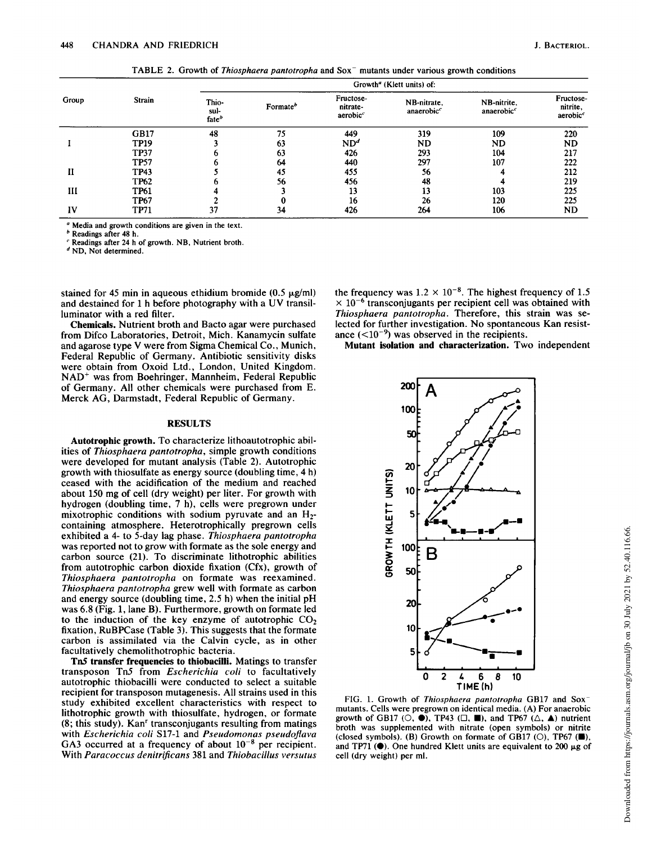TABLE 2. Growth of Thiosphaera pantotropha and Sox<sup>-</sup> mutants under various growth conditions

|       | <b>Strain</b> |                                    | Growth <sup>a</sup> (Klett units) of: |                                               |                                       |                                       |                                               |  |
|-------|---------------|------------------------------------|---------------------------------------|-----------------------------------------------|---------------------------------------|---------------------------------------|-----------------------------------------------|--|
| Group |               | Thio-<br>sul-<br>fate <sup>b</sup> | Formate <sup>b</sup>                  | Fructose-<br>nitrate-<br>aerobic <sup>c</sup> | NB-nitrate,<br>anaerobic <sup>c</sup> | NB-nitrite,<br>anaerobic <sup>c</sup> | Fructose-<br>nitrite,<br>aerobic <sup>c</sup> |  |
|       | <b>GB17</b>   | 48                                 | 75                                    | 449                                           | 319                                   | 109                                   | 220                                           |  |
|       | <b>TP19</b>   |                                    | 63                                    | ND <sup>d</sup>                               | ND                                    | ND                                    | ND                                            |  |
|       | <b>TP37</b>   |                                    | 63                                    | 426                                           | 293                                   | 104                                   | 217                                           |  |
|       | <b>TP57</b>   |                                    | 64                                    | 440                                           | 297                                   | 107                                   | 222                                           |  |
| П     | <b>TP43</b>   |                                    | 45                                    | 455                                           | 56                                    |                                       | 212                                           |  |
|       | <b>TP62</b>   |                                    | 56                                    | 456                                           | 48                                    |                                       | 219                                           |  |
| Ш     | <b>TP61</b>   |                                    |                                       | 13                                            | 13                                    | 103                                   | 225                                           |  |
|       | <b>TP67</b>   |                                    |                                       | 16                                            | 26                                    | 120                                   | 225                                           |  |
| IV    | <b>TP71</b>   | 37                                 | 34                                    | 426                                           | 264                                   | 106                                   | ND                                            |  |

<sup>a</sup> Media and growth conditions are given in the text.

<sup>b</sup> Readings after 48 h.

Readings after 24 h of growth. NB, Nutrient broth.

<sup>d</sup> ND, Not determined.

stained for 45 min in aqueous ethidium bromide  $(0.5 \mu g/ml)$ and destained for <sup>1</sup> <sup>h</sup> before photography with <sup>a</sup> UV transilluminator with a red filter.

Chemicals. Nutrient broth and Bacto agar were purchased from Difco Laboratories, Detroit, Mich. Kanamycin sulfate and agarose type V were from Sigma Chemical Co., Munich, Federal Republic of Germany. Antibiotic sensitivity disks were obtain from Oxoid Ltd., London, United Kingdom. NAD+ was from Boehringer, Mannheim, Federal Republic of Germany. All other chemicals were purchased from E. Merck AG, Darmstadt, Federal Republic of Germany.

### **RESULTS**

Autotrophic growth. To characterize lithoautotrophic abilities of Thiosphaera pantotropha, simple growth conditions were developed for mutant analysis (Table 2). Autotrophic growth with thiosulfate as energy source (doubling time, 4 h) ceased with the acidification of the medium and reached about 150 mg of cell (dry weight) per liter. For growth with hydrogen (doubling time, 7 h), cells were pregrown under mixotrophic conditions with sodium pyruvate and an  $H_2$ containing atmosphere. Heterotrophically pregrown cells exhibited a 4- to 5-day lag phase. Thiosphaera pantotropha was reported not to grow with formate as the sole energy and carbon source (21). To discriminate lithotrophic abilities from autotrophic carbon dioxide fixation (Cfx), growth of Thiosphaera pantotropha on formate was reexamined. Thiosphaera pantotropha grew well with formate as carbon and energy source (doubling time, 2.5 h) when the initial pH was 6.8 (Fig. 1, lane B). Furthermore, growth on formate led to the induction of the key enzyme of autotrophic  $CO<sub>2</sub>$ fixation, RuBPCase (Table 3). This suggests that the formate carbon is assimilated via the Calvin cycle, as in other facultatively chemolithotrophic bacteria.

Tn5 transfer frequencies to thiobacilli. Matings to transfer transposon Tn5 from Escherichia coli to facultatively autotrophic thiobacilli were conducted to select a suitable recipient for transposon mutagenesis. All strains used in this study exhibited excellent characteristics with respect to lithotrophic growth with thiosulfate, hydrogen, or formate  $(8; this study)$ . Kan<sup>r</sup> transconjugants resulting from matings with Escherichia coli S17-1 and Pseudomonas pseudoflava GA3 occurred at a frequency of about  $10^{-8}$  per recipient. With Paracoccus denitrificans 381 and Thiobacillus versutus

the frequency was  $1.2 \times 10^{-8}$ . The highest frequency of 1.5  $\times$  10<sup>-6</sup> transconjugants per recipient cell was obtained with Thiosphaera pantotropha. Therefore, this strain was selected for further investigation. No spontaneous Kan resistance  $(<10^{-9}$ ) was observed in the recipients.

Mutant isolation and characterization. Two independent



FIG. 1. Growth of Thiosphaera pantotropha GB17 and Sox<sup>-</sup> mutants. Cells were pregrown on identical media. (A) For anaerobic growth of GB17 ( $\circlearrowleft$ ,  $\bullet$ ), TP43 ( $\Box$ ,  $\Box$ ), and TP67 ( $\triangle$ ,  $\blacktriangle$ ) nutrient broth was supplemented with nitrate (open symbols) or nitrite (closed symbols). (B) Growth on formate of GB17 ( $\circ$ ), TP67 ( $\blacksquare$ ), and TP71 ( $\bullet$ ). One hundred Klett units are equivalent to 200  $\mu$ g of cell (dry weight) per ml.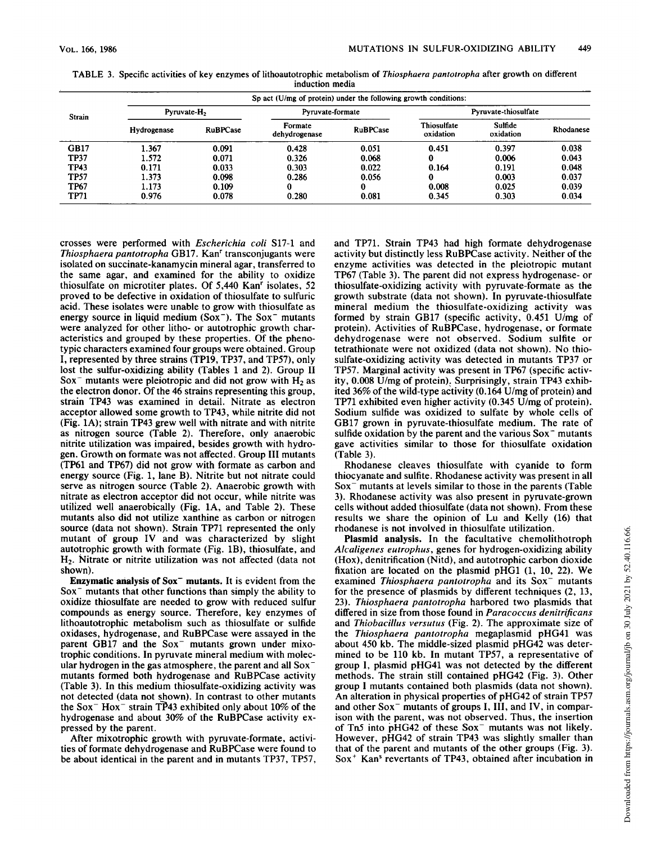| <b>Strain</b> | Sp act (U/mg of protein) under the following growth conditions: |                         |                          |                  |                          |                      |           |  |
|---------------|-----------------------------------------------------------------|-------------------------|--------------------------|------------------|--------------------------|----------------------|-----------|--|
|               |                                                                 | Pyruvate-H <sub>2</sub> |                          | Pyruvate-formate |                          | Pyruvate-thiosulfate |           |  |
|               | Hydrogenase                                                     | <b>RuBPCase</b>         | Formate<br>dehydrogenase | <b>RuBPCase</b>  | Thiosulfate<br>oxidation | Sulfide<br>oxidation | Rhodanese |  |
| <b>GB17</b>   | 1.367                                                           | 0.091                   | 0.428                    | 0.051            | 0.451                    | 0.397                | 0.038     |  |
| <b>TP37</b>   | 1.572                                                           | 0.071                   | 0.326                    | 0.068            | 0                        | 0.006                | 0.043     |  |
| <b>TP43</b>   | 0.171                                                           | 0.033                   | 0.303                    | 0.022            | 0.164                    | 0.191                | 0.048     |  |
| <b>TP57</b>   | 1.373                                                           | 0.098                   | 0.286                    | 0.056            | 0                        | 0.003                | 0.037     |  |
| <b>TP67</b>   | 1.173                                                           | 0.109                   |                          |                  | 0.008                    | 0.025                | 0.039     |  |
| TP71          | 0.976                                                           | 0.078                   | 0.280                    | 0.081            | 0.345                    | 0.303                | 0.034     |  |

TABLE 3. Specific activities of key enzymes of lithoautotrophic metabolism of Thiosphaera pantotropha after growth on different induction media

crosses were performed with Escherichia coli S17-1 and Thiosphaera pantotropha GB17. Kan<sup>r</sup> transconjugants were isolated on succinate-kanamycin mineral agar, transferred to the same agar, and examined for the ability to oxidize thiosulfate on microtiter plates. Of 5,440 Kan<sup>r</sup> isolates, 52 proved to be defective in oxidation of thiosulfate to sulfuric acid. These isolates were unable to grow with thiosulfate as energy source in liquid medium  $(Sox^-)$ . The  $Sox^-$  mutants were analyzed for other litho- or autotrophic growth characteristics and grouped by these properties. Of the phenotypic characters examined four groups were obtained. Group I, represented by three strains (TP19, TP37, and TP57), only lost the sulfur-oxidizing ability (Tables <sup>1</sup> and 2). Group II Sox<sup>-</sup> mutants were pleiotropic and did not grow with  $H_2$  as the electron donor. Of the 46 strains representing this group, strain TP43 was examined in detail. Nitrate as electron acceptor allowed some growth to TP43, while nitrite did not (Fig. 1A); strain TP43 grew well with nitrate and with nitrite as nitrogen source (Table 2). Therefore, only anaerobic nitrite utilization was impaired, besides growth with hydrogen. Growth on formate was not affected. Group III mutants (TP61 and TP67) did not grow with formate as carbon and energy source (Fig. 1, lane B). Nitrite but not nitrate could serve as nitrogen source (Table 2). Anaerobic growth with nitrate as electron acceptor did not occur, while nitrite was utilized well anaerobically (Fig. 1A, and Table 2). These mutants also did not utilize xanthine as carbon or nitrogen source (data not shown). Strain TP71 represented the only mutant of group IV and was characterized by slight autotrophic growth with formate (Fig. 1B), thiosulfate, and H2. Nitrate or nitrite utilization was not affected (data not shown).

Enzymatic analysis of Sox<sup>-</sup> mutants. It is evident from the  $Sox$ <sup>-</sup> mutants that other functions than simply the ability to oxidize thiosulfate are needed to grow with reduced sulfur compounds as energy source. Therefore, key enzymes of lithoautotrophic metabolism such as thiosulfate or sulfide oxidases, hydrogenase, and RuBPCase were assayed in the parent GB17 and the  $Sox$ <sup>-</sup> mutants grown under mixotrophic conditions. In pyruvate mineral medium with molecular hydrogen in the gas atmosphere, the parent and all Soxmutants formed both hydrogenase and RuBPCase activity (Table 3). In this medium thiosulfate-oxidizing activity was not detected (data not shown). In contrast to other mutants the Sox<sup>-</sup> Hox<sup>-</sup> strain TP43 exhibited only about 10% of the hydrogenase and about 30% of the RuBPCase activity expressed by the parent.

After mixotrophic growth with pyruvate-formate, activities of formate dehydrogenase and RuBPCase were found to be about identical in the parent and in mutants TP37, TP57, and TP71. Strain TP43 had high formate dehydrogenase activity but distinctly less RuBPCase activity. Neither of the enzyme activities was detected in the pleiotropic mutant TP67 (Table 3). The parent did not express hydrogenase- or thiosulfate-oxidizing activity with pyruvate-formate as the growth substrate (data not shown). In pyruvate-thiosulfate mineral medium the thiosulfate-oxidizing activity was formed by strain GB17 (specific activity, 0.451 U/mg of protein). Activities of RuBPCase, hydrogenase, or formate dehydrogenase were not observed. Sodium sulfite or tetrathionate were not oxidized (data not shown). No thiosulfate-oxidizing activity was detected in mutants TP37 or TP57. Marginal activity was present in TP67 (specific activity, 0.008 U/mg of protein). Surprisingly, strain TP43 exhibited 36% of the wild-type activity (0.164 U/mg of protein) and TP71 exhibited even higher activity (0.345 U/mg of protein). Sodium sulfide was oxidized to sulfate by whole cells of GB17 grown in pyruvate-thiosulfate medium. The rate of sulfide oxidation by the parent and the various  $Sox$ <sup>-</sup> mutants gave activities similar to those for thiosulfate oxidation (Table 3).

Rhodanese cleaves thiosulfate with cyanide to form thiocyanate and sulfite. Rhodanese activity was present in all Sox<sup>-</sup> mutants at levels similar to those in the parents (Table 3). Rhodanese activity was also present in pyruvate-grown cells without added thiosulfate (data not shown). From these results we share the opinion of Lu and Kelly (16) that rhodanese is not involved in thiosulfate utilization.

Plasmid analysis. In the facultative chemolithotroph Alcaligenes eutrophus, genes for hydrogen-oxidizing ability (Hox), denitrification (Nitd), and autotrophic carbon dioxide fixation are located on the plasmid pHG1 (1, 10, 22). We examined Thiosphaera pantotropha and its  $Sox^-$  mutants for the presence of plasmids by different techniques (2, 13, 23). Thiosphaera pantotropha harbored two plasmids that differed in size from those found in Paracoccus denitrificans and Thiobacillus versutus (Fig. 2). The approximate size of the Thiosphaera pantotropha megaplasmid pHG41 was about 450 kb. The middle-sized plasmid pHG42 was determined to be 110 kb. In mutant TP57, a representative of group I, plasmid pHG41 was not detected by the different methods. The strain still contained pHG42 (Fig. 3). Other group <sup>I</sup> mutants contained both plasmids (data not shown). An alteration in physical properties of pHG42 of strain TP57 and other Sox<sup>-</sup> mutants of groups I, III, and IV, in comparison with the parent, was not observed. Thus, the insertion of  $Tn5$  into pHG42 of these  $Sox$ <sup>-</sup> mutants was not likely. However, pHG42 of strain TP43 was slightly smaller than that of the parent and mutants of the other groups (Fig. 3). Sox<sup>+</sup> Kan<sup>s</sup> revertants of TP43, obtained after incubation in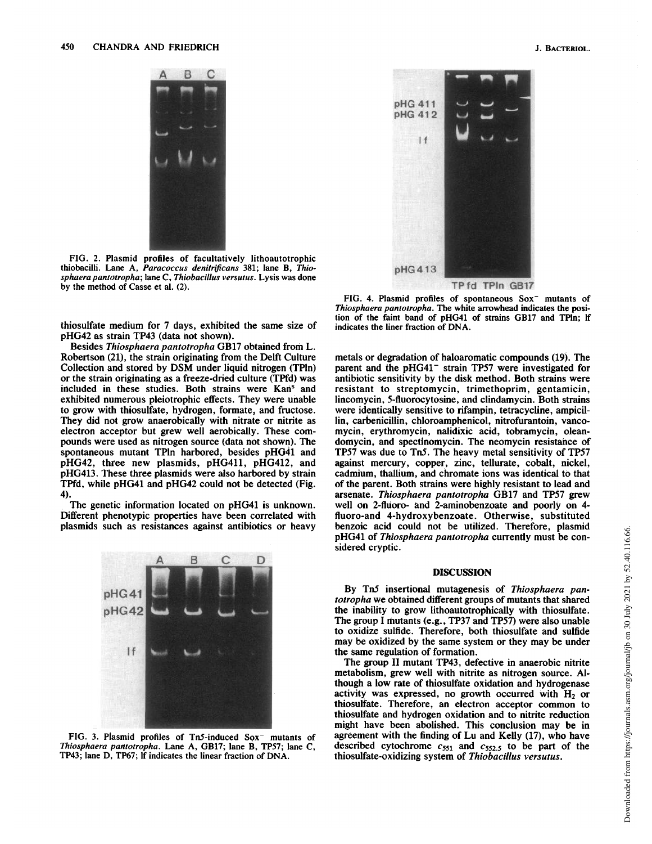

FIG. 2. Plasmid profiles of facultatively lithoautotrophic thiobacilli. Lane A, Paracoccus denitrificans 381; lane B, Thiosphaera pantotropha; lane C, Thiobacillus versutus. Lysis was done by the method of Casse et al. (2).

thiosulfate medium for 7 days, exhibited the same size of pHG42 as strain TP43 (data not shown).

Besides Thiosphaera pantotropha GB17 obtained from L. Robertson (21), the strain originating from the Delft Culture Collection and stored by DSM under liquid nitrogen (TPln) or the strain originating as a freeze-dried culture (TPfd) was included in these studies. Both strains were Kan<sup>s</sup> and exhibited numerous pleiotrophic effects. They were unable to grow with thiosulfate, hydrogen, formate, and fructose. They did not grow anaerobically with nitrate or nitrite as electron acceptor but grew well aerobically. These compounds were used as nitrogen source (data not shown). The spontaneous mutant TPln harbored, besides pHG41 and pHG42, three new plasmids, pHG411, pHG412, and pHG413. These three plasmids were also harbored by strain TPfd, while pHG41 and pHG42 could not be detected (Fig. 4).

The genetic information located on pHG41 is unknown. Different phenotypic properties have been correlated with plasmids such as resistances against antibiotics or heavy



FIG. 3. Plasmid profiles of Tn5-induced Sox<sup>-</sup> mutants of Thiosphaera pantotropha. Lane A, GB17; lane B, TP57; lane C, TP43; lane D, TP67; If indicates the linear fraction of DNA.

pHG 411 pHG 412 If pHG 413

TPfd TPIn GB17

FIG. 4. Plasmid profiles of spontaneous Sox<sup>-</sup> mutants of Thiosphaera pantotropha. The white arrowhead indicates the position of the faint band of pHG41 of strains GB17 and TPln; lf indicates the liner fraction of DNA.

metals or degradation of haloaromatic compounds (19). The parent and the pHG41<sup>-</sup> strain TP57 were investigated for antibiotic sensitivity by the disk method. Both strains were resistant to streptomycin, trimethoprim, gentamicin, lincomycin, 5-fluorocytosine, and clindamycin. Both strains were identically sensitive to rifampin, tetracycline, ampicillin, carbenicillin, chloroamphenicol, nitrofurantoin, vancomycin, erythromycin, nalidixic acid, tobramycin, oleandomycin, and spectinomycin. The neomycin resistance of TP57 was due to TnS. The heavy metal sensitivity of TP57 against mercury, copper, zinc, tellurate, cobalt, nickel, cadmium, thallium, and chromate ions was identical to that of the parent. Both strains were highly resistant to lead and arsenate. Thiosphaera pantotropha GB17 and TP57 grew well on 2-fluoro- and 2-aminobenzoate and poorly on 4fluoro-and 4-hydroxybenzoate. Otherwise, substituted benzoic acid could not be utilized. Therefore, plasmid pHG41 of Thiosphaera pantotropha currently must be considered cryptic.

## DISCUSSION

By Tn5 insertional mutagenesis of Thiosphaera pantotropha we obtained different groups of mutants that shared the inability to grow lithoautotrophically with thiosulfate. The group I mutants (e.g., TP37 and TP57) were also unable to oxidize sulfide. Therefore, both thiosulfate and sulfide may be oxidized by the same system or they may be under the same regulation of formation.

The group II mutant TP43, defective in anaerobic nitrite metabolism, grew well with nitrite as nitrogen source. Although a low rate of thiosulfate oxidation and hydrogenase activity was expressed, no growth occurred with  $H_2$  or thiosulfate. Therefore, an electron acceptor common to thiosulfate and hydrogen oxidation and to nitrite reduction might have been abolished. This conclusion may be in agreement with the finding of Lu and Kelly (17), who have described cytochrome  $c_{551}$  and  $c_{552.5}$  to be part of the thiosulfate-oxidizing system of Thiobacillus versutus.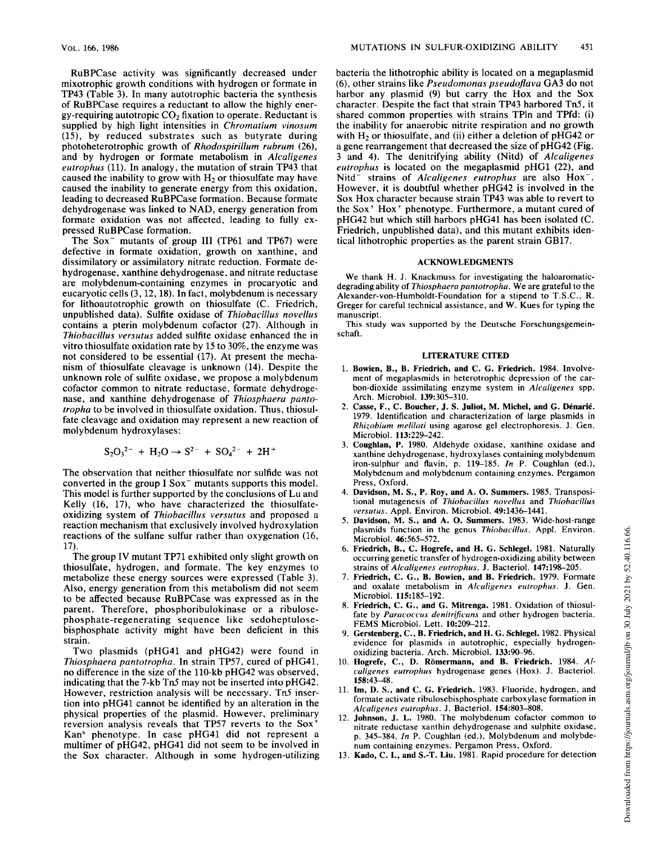RuBPCase activity was significantly decreased under mixotrophic growth conditions with hydrogen or formate in TP43 (Table 3). In many autotrophic bacteria the synthesis of RuBPCase requires a reductant to allow the highly energy-requiring autotropic  $CO<sub>2</sub>$  fixation to operate. Reductant is supplied by high light intensities in Chromatium vinosum (15), by reduced substrates such as butyrate during photoheterotrophic growth of Rhodospirillum rubrum (26), and by hydrogen or formate metabolism in Alcaligenes eutrophus (11). In analogy, the mutation of strain TP43 that caused the inability to grow with  $H<sub>2</sub>$  or thiosulfate may have caused the inability to generate energy from this oxidation, leading to decreased RuBPCase formation. Because formate dehydrogenase was linked to NAD, energy generation from formate oxidation was not affected, leading to fully expressed RuBPCase formation.

The Sox<sup>-</sup> mutants of group III (TP61 and TP67) were defective in formate oxidation, growth on xanthine, and dissimilatory or assimilatory nitrate reduction. Formate dehydrogenase, xanthine dehydrogenase, and nitrate reductase are molybdenum-containing enzymes in procaryotic and eucaryotic cells (3, 12, 18). In fact, molybdenum is necessary for lithoautotrophic growth on thiosulfate (C. Friedrich, unpublished data). Sulfite oxidase of Thiobacillus novellus contains a pterin molybdenum cofactor (27). Although in Thiobacillus versutus added sulfite oxidase enhanced the in vitro thiosulfate oxidation rate by 15 to 30%, the enzyme was not considered to be essential (17). At present the mechanism of thiosulfate cleavage is unknown (14). Despite the unknown role of sulfite oxidase, we propose a molybdenum cofactor common to nitrate reductase, formate dehydrogenase, and xanthine dehydrogenase of Thiosphaera pantotropha to be involved in thiosulfate oxidation. Thus, thiosulfate cleavage and oxidation may represent a new reaction of molybdenum hydroxylases:

$$
S_2O_3^{2-} + H_2O \rightarrow S^{2-} + SO_4^{2-} + 2H^+
$$

The observation that neither thiosulfate nor sulfide was not converted in the group  $I$  Sox<sup>-</sup> mutants supports this model. This model is further supported by the conclusions of Lu and Kelly (16, 17), who have characterized the thiosulfateoxidizing system of Thiobacillus versutus and proposed a reaction mechanism that exclusively involved hydroxylation reactions of the sulfane sulfur rather than oxygenation (16, 17).

The group IV mutant TP71 exhibited only slight growth on thiosulfate, hydrogen, and formate. The key enzymes to metabolize these energy sources were expressed (Table 3). Also, energy generation from this metabolism did not seem to be affected because RuBPCase was expressed as in the parent. Therefore, phosphoribulokinase or a ribulosephosphate-regenerating sequence like sedoheptulosebisphosphate activity might have been deficient in this strain.

Two plasmids (pHG41 and pHG42) were found in Thiosphaera pantotropha. In strain TP57, cured of pHG41, no difference in the size of the 110-kb pHG42 was observed, indicating that the 7-kb Tn5 may not be inserted into pHG42. However, restriction analysis will be necessary. Tn5 insertion into pHG41 cannot be identified by an alteration in the physical properties of the plasmid. However, preliminary reversion analysis reveals that TP57 reverts to the Sox+ Kans phenotype. In case pHG41 did not represent a multimer of pHG42, pHG41 did not seem to be involved in the Sox character. Although in some hydrogen-utilizing bacteria the lithotrophic ability is located on a megaplasmid (6), other strains like Pseudomonas pseudoflava GA3 do not harbor any plasmid (9) but carry the Hox and the Sox character. Despite the fact that strain TP43 harbored Tn5, it shared common properties with strains TPln and TPfd: (i) the inability for anaerobic nitrite respiration and no growth with  $H_2$  or thiosulfate, and (ii) either a deletion of pHG42 or <sup>a</sup> gene rearrangement that decreased the size of pHG42 (Fig. <sup>3</sup> and 4). The denitrifying ability (Nitd) of Alcaligenes eutrophus is located on the megaplasmid pHG1 (22), and Nitd<sup>-</sup> strains of Alcaligenes eutrophus are also Hox<sup>-</sup>. However, it is doubtful whether pHG42 is involved in the Sox Hox character because strain TP43 was able to revert to the  $Sox^+$  Hox<sup>+</sup> phenotype. Furthermore, a mutant cured of pHG42 but which still harbors pHG41 has been isolated (C. Friedrich, unpublished data), and this mutant exhibits identical lithotrophic properties as the parent strain GB17.

#### ACKNOWLEDGMENTS

We thank H. J. Knackmuss for investigating the haloaromaticdegrading ability of Thiosphaera pantotropha. We are grateful to the Alexander-von-Humboldt-Foundation for a stipend to T.S.C., R. Greger for careful technical assistance, and W. Kues for typing the manuscript.

This study was supported by the Deutsche Forschungsgemeinschaft.

#### LITERATURE CITED

- 1. Bowien, B., B. Friedrich, and C. G. Friedrich. 1984. Involvement of megaplasmids in heterotrophic depression of the carbon-dioxide assimilating enzyme system in Alcaligenes spp. Arch. Microbiol. 139:305-310.
- 2. Casse, F., C. Boucher, J. S. Juliot, M. Michel, and G. Denari6. 1979. Identification and characterization of large plasmids in Rhizobium meliloti using agarose gel electrophoresis. J. Gen. Microbiol. 113:229-242.
- 3. Coughlan, P. 1980. Aldehyde oxidase, xanthine oxidase and xanthine dehydrogenase, hydroxylases containing molybdenum iron-sulphur and flavin, p. 119-185. In P. Coughlan (ed.), Molybdenum and molybdenum containing enzymes. Pergamon Press, Oxford.
- 4. Davidson, M. S., P. Roy, and A. 0. Summers. 1985. Transpositional mutagenesis of Thiobacillus novellus and Thiobacillus versutus. Appl. Environ. Microbiol. 49:1436-1441.
- Davidson, M. S., and A. O. Summers. 1983. Wide-host-range plasmids function in the genus Thiobacillus. Appl. Environ. Microbiol. 46:565-572.
- 6. Friedrich, B., C. Hogrefe, and H. G. Schlegel. 1981. Naturally occurring genetic transfer of hydrogen-oxidizing ability between strains of Alcaligenes eutrophus. J. Bacteriol. 147:198-205.
- 7. Friedrich, C. G., B. Bowien, and B. Friedrich. 1979. Formate and oxalate metabolism in Alcaligenes eutrophus. J. Gen. Microbiol. 115:185-192.
- 8. Friedrich, C. G., and G. Mitrenga. 1981. Oxidation of thiosulfate by Paracoccus denitrificans and other hydrogen bacteria. FEMS Microbiol. Lett. 10:209-212.
- 9. Gerstenberg, C., B. Friedrich, and H. G. Schlegel. 1982. Physical evidence for plasmids in autotrophic, especially hydrogenoxidizing bacteria. Arch. Microbiol. 133:90-96.
- 10. Hogrefe, C., D. Romermann, and B. Friedrich. 1984. Alcaligenes eutrophus hydrogenase genes (Hox). J. Bacteriol. 158:43-48.
- 11. Im, 0. S., and C. G. Friedrich. 1983. Fluoride, hydrogen, and formate activate ribulosebisphosphate carboxylase formation in Alcaligenes eutrophus. J. Bacteriol. 154:803-808.
- 12. Johnson, J. L. 1980. The molybdenum cofactor common to nitrate reductase xanthin dehydrogenase and sulphite oxidase, p. 345-384. In P. Coughlan (ed.), Molybdenum and molybdenum containing enzymes. Pergamon Press, Oxford.
- 13. Kado, C. I., and S.-T. Liu. 1981. Rapid procedure for detection